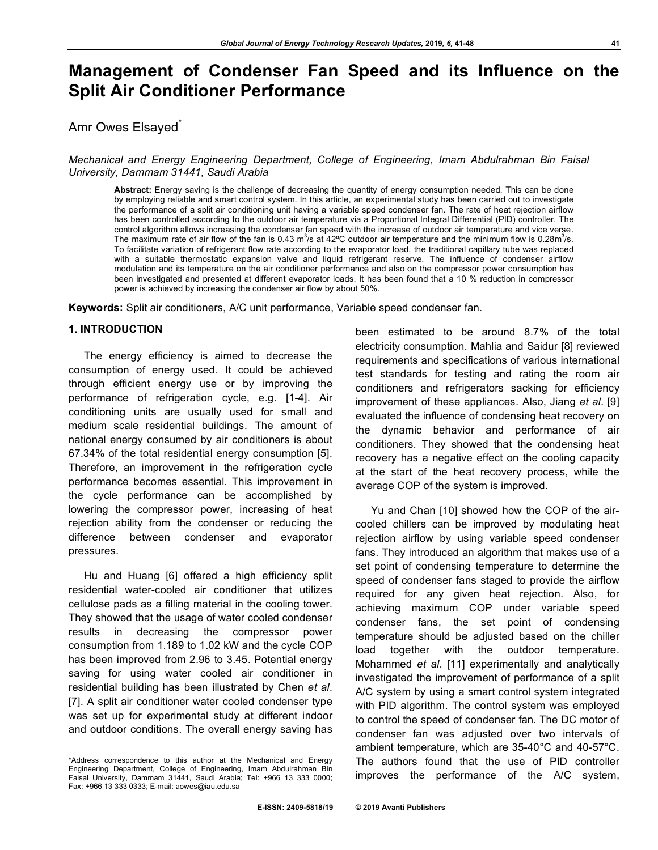# **Management of Condenser Fan Speed and its Influence on the Split Air Conditioner Performance**

# Amr Owes Elsayed<sup>®</sup>

# *Mechanical and Energy Engineering Department, College of Engineering, Imam Abdulrahman Bin Faisal University, Dammam 31441, Saudi Arabia*

**Abstract:** Energy saving is the challenge of decreasing the quantity of energy consumption needed. This can be done by employing reliable and smart control system. In this article, an experimental study has been carried out to investigate the performance of a split air conditioning unit having a variable speed condenser fan. The rate of heat rejection airflow has been controlled according to the outdoor air temperature via a Proportional Integral Differential (PID) controller. The control algorithm allows increasing the condenser fan speed with the increase of outdoor air temperature and vice verse. The maximum rate of air flow of the fan is 0.43 m<sup>3</sup>/s at 42°C outdoor air temperature and the minimum flow is 0.28m<sup>3</sup>/s. To facilitate variation of refrigerant flow rate according to the evaporator load, the traditional capillary tube was replaced with a suitable thermostatic expansion valve and liquid refrigerant reserve. The influence of condenser airflow modulation and its temperature on the air conditioner performance and also on the compressor power consumption has been investigated and presented at different evaporator loads. It has been found that a 10 % reduction in compressor power is achieved by increasing the condenser air flow by about 50%.

**Keywords:** Split air conditioners, A/C unit performance, Variable speed condenser fan.

# **1. INTRODUCTION**

The energy efficiency is aimed to decrease the consumption of energy used. It could be achieved through efficient energy use or by improving the performance of refrigeration cycle, e.g. [1-4]. Air conditioning units are usually used for small and medium scale residential buildings. The amount of national energy consumed by air conditioners is about 67.34% of the total residential energy consumption [5]. Therefore, an improvement in the refrigeration cycle performance becomes essential. This improvement in the cycle performance can be accomplished by lowering the compressor power, increasing of heat rejection ability from the condenser or reducing the difference between condenser and evaporator pressures.

Hu and Huang [6] offered a high efficiency split residential water-cooled air conditioner that utilizes cellulose pads as a filling material in the cooling tower. They showed that the usage of water cooled condenser results in decreasing the compressor power consumption from 1.189 to 1.02 kW and the cycle COP has been improved from 2.96 to 3.45. Potential energy saving for using water cooled air conditioner in residential building has been illustrated by Chen *et al*. [7]. A split air conditioner water cooled condenser type was set up for experimental study at different indoor and outdoor conditions. The overall energy saving has

been estimated to be around 8.7% of the total electricity consumption. Mahlia and Saidur [8] reviewed requirements and specifications of various international test standards for testing and rating the room air conditioners and refrigerators sacking for efficiency improvement of these appliances. Also, Jiang *et al*. [9] evaluated the influence of condensing heat recovery on the dynamic behavior and performance of air conditioners. They showed that the condensing heat recovery has a negative effect on the cooling capacity at the start of the heat recovery process, while the average COP of the system is improved.

Yu and Chan [10] showed how the COP of the aircooled chillers can be improved by modulating heat rejection airflow by using variable speed condenser fans. They introduced an algorithm that makes use of a set point of condensing temperature to determine the speed of condenser fans staged to provide the airflow required for any given heat rejection. Also, for achieving maximum COP under variable speed condenser fans, the set point of condensing temperature should be adjusted based on the chiller load together with the outdoor temperature. Mohammed *et al*. [11] experimentally and analytically investigated the improvement of performance of a split A/C system by using a smart control system integrated with PID algorithm. The control system was employed to control the speed of condenser fan. The DC motor of condenser fan was adjusted over two intervals of ambient temperature, which are 35-40°C and 40-57°C. The authors found that the use of PID controller improves the performance of the A/C system,

<sup>\*</sup>Address correspondence to this author at the Mechanical and Energy Engineering Department, College of Engineering, Imam Abdulrahman Bin Faisal University, Dammam 31441, Saudi Arabia; Tel: +966 13 333 0000; Fax: +966 13 333 0333; E-mail: aowes@iau.edu.sa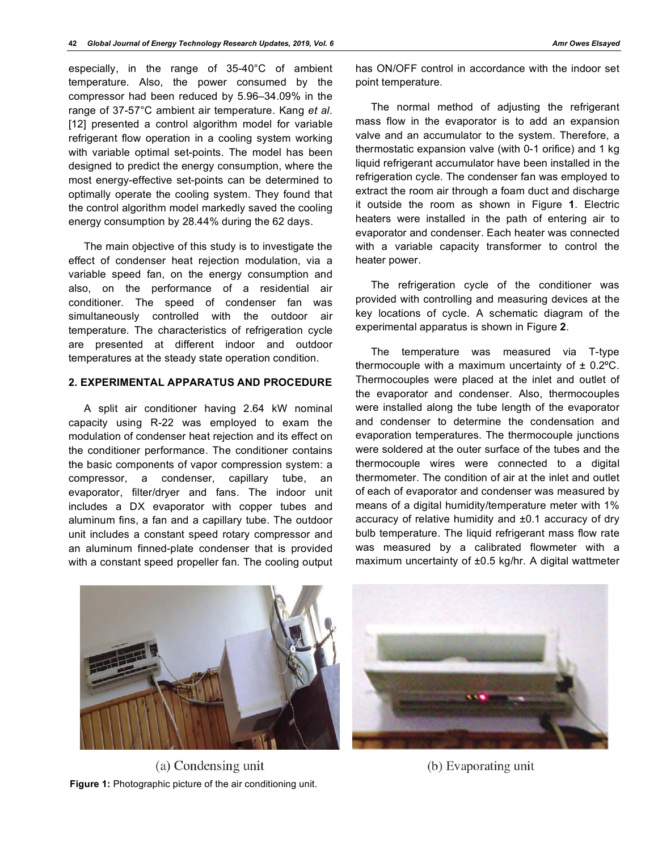especially, in the range of 35-40°C of ambient temperature. Also, the power consumed by the compressor had been reduced by 5.96‒34.09% in the range of 37-57°C ambient air temperature. Kang *et al*. [12] presented a control algorithm model for variable refrigerant flow operation in a cooling system working with variable optimal set-points. The model has been designed to predict the energy consumption, where the most energy-effective set-points can be determined to optimally operate the cooling system. They found that the control algorithm model markedly saved the cooling energy consumption by 28.44% during the 62 days.

The main objective of this study is to investigate the effect of condenser heat rejection modulation, via a variable speed fan, on the energy consumption and also, on the performance of a residential air conditioner. The speed of condenser fan was simultaneously controlled with the outdoor air temperature. The characteristics of refrigeration cycle are presented at different indoor and outdoor temperatures at the steady state operation condition.

### **2. EXPERIMENTAL APPARATUS AND PROCEDURE**

A split air conditioner having 2.64 kW nominal capacity using R-22 was employed to exam the modulation of condenser heat rejection and its effect on the conditioner performance. The conditioner contains the basic components of vapor compression system: a compressor, a condenser, capillary tube, an evaporator, filter/dryer and fans. The indoor unit includes a DX evaporator with copper tubes and aluminum fins, a fan and a capillary tube. The outdoor unit includes a constant speed rotary compressor and an aluminum finned-plate condenser that is provided with a constant speed propeller fan. The cooling output has ON/OFF control in accordance with the indoor set point temperature.

The normal method of adjusting the refrigerant mass flow in the evaporator is to add an expansion valve and an accumulator to the system. Therefore, a thermostatic expansion valve (with 0-1 orifice) and 1 kg liquid refrigerant accumulator have been installed in the refrigeration cycle. The condenser fan was employed to extract the room air through a foam duct and discharge it outside the room as shown in Figure **1**. Electric heaters were installed in the path of entering air to evaporator and condenser. Each heater was connected with a variable capacity transformer to control the heater power.

The refrigeration cycle of the conditioner was provided with controlling and measuring devices at the key locations of cycle. A schematic diagram of the experimental apparatus is shown in Figure **2**.

The temperature was measured via T-type thermocouple with a maximum uncertainty of  $\pm$  0.2°C. Thermocouples were placed at the inlet and outlet of the evaporator and condenser. Also, thermocouples were installed along the tube length of the evaporator and condenser to determine the condensation and evaporation temperatures. The thermocouple junctions were soldered at the outer surface of the tubes and the thermocouple wires were connected to a digital thermometer. The condition of air at the inlet and outlet of each of evaporator and condenser was measured by means of a digital humidity/temperature meter with 1% accuracy of relative humidity and ±0.1 accuracy of dry bulb temperature. The liquid refrigerant mass flow rate was measured by a calibrated flowmeter with a maximum uncertainty of ±0.5 kg/hr. A digital wattmeter



(a) Condensing unit **Figure 1:** Photographic picture of the air conditioning unit.



(b) Evaporating unit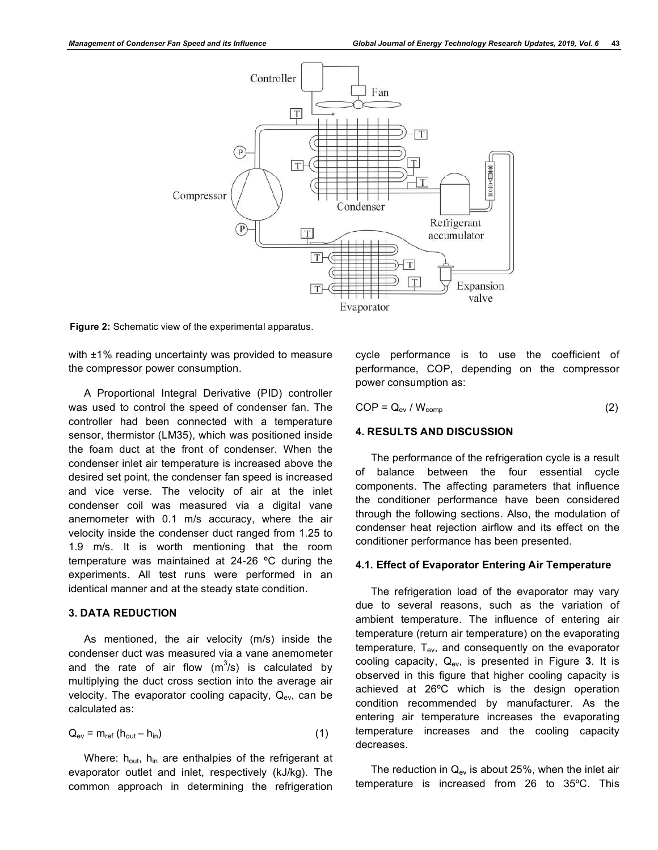

**Figure 2:** Schematic view of the experimental apparatus.

with ±1% reading uncertainty was provided to measure the compressor power consumption.

A Proportional Integral Derivative (PID) controller was used to control the speed of condenser fan. The controller had been connected with a temperature sensor, thermistor (LM35), which was positioned inside the foam duct at the front of condenser. When the condenser inlet air temperature is increased above the desired set point, the condenser fan speed is increased and vice verse. The velocity of air at the inlet condenser coil was measured via a digital vane anemometer with 0.1 m/s accuracy, where the air velocity inside the condenser duct ranged from 1.25 to 1.9 m/s. It is worth mentioning that the room temperature was maintained at 24-26 ºC during the experiments. All test runs were performed in an identical manner and at the steady state condition.

# **3. DATA REDUCTION**

As mentioned, the air velocity (m/s) inside the condenser duct was measured via a vane anemometer and the rate of air flow  $(m^3/s)$  is calculated by multiplying the duct cross section into the average air velocity. The evaporator cooling capacity,  $Q_{ev}$ , can be calculated as:

$$
Q_{ev} = m_{ref} (h_{out} - h_{in})
$$
 (1)

Where:  $h_{out}$ ,  $h_{in}$  are enthalpies of the refrigerant at evaporator outlet and inlet, respectively (kJ/kg). The common approach in determining the refrigeration

cycle performance is to use the coefficient of performance, COP, depending on the compressor power consumption as:

$$
COP = Q_{ev} / W_{comp}
$$
 (2)

# **4. RESULTS AND DISCUSSION**

The performance of the refrigeration cycle is a result of balance between the four essential cycle components. The affecting parameters that influence the conditioner performance have been considered through the following sections. Also, the modulation of condenser heat rejection airflow and its effect on the conditioner performance has been presented.

#### **4.1. Effect of Evaporator Entering Air Temperature**

The refrigeration load of the evaporator may vary due to several reasons, such as the variation of ambient temperature. The influence of entering air temperature (return air temperature) on the evaporating temperature,  $T_{ev}$ , and consequently on the evaporator cooling capacity, Qev, is presented in Figure **3**. It is observed in this figure that higher cooling capacity is achieved at 26ºC which is the design operation condition recommended by manufacturer. As the entering air temperature increases the evaporating temperature increases and the cooling capacity decreases.

The reduction in  $Q_{ev}$  is about 25%, when the inlet air temperature is increased from 26 to 35ºC. This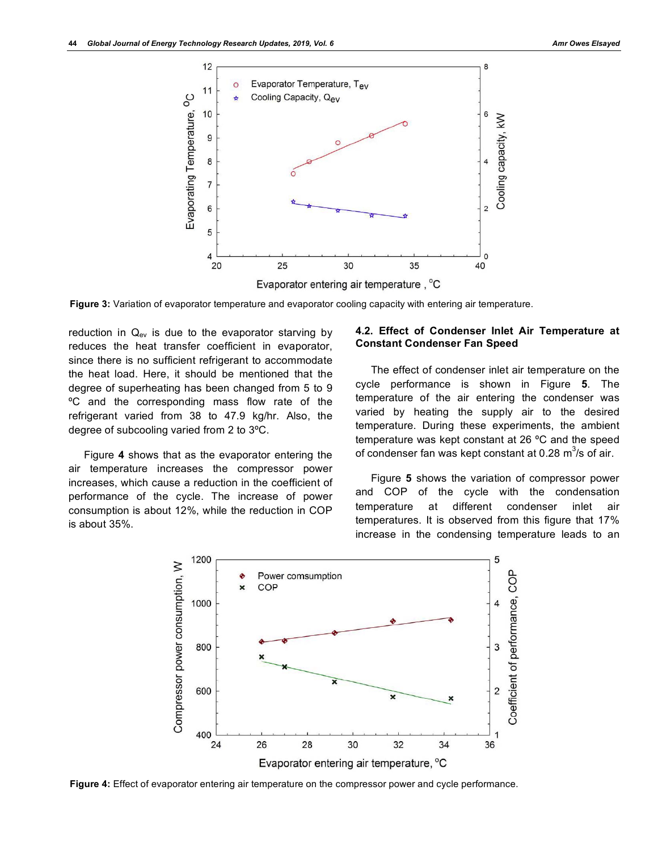

**Figure 3:** Variation of evaporator temperature and evaporator cooling capacity with entering air temperature.

reduction in  $Q_{ev}$  is due to the evaporator starving by reduces the heat transfer coefficient in evaporator, since there is no sufficient refrigerant to accommodate the heat load. Here, it should be mentioned that the degree of superheating has been changed from 5 to 9 ºC and the corresponding mass flow rate of the refrigerant varied from 38 to 47.9 kg/hr. Also, the degree of subcooling varied from 2 to 3ºC.

Figure **4** shows that as the evaporator entering the air temperature increases the compressor power increases, which cause a reduction in the coefficient of performance of the cycle. The increase of power consumption is about 12%, while the reduction in COP is about 35%.

# **4.2. Effect of Condenser Inlet Air Temperature at Constant Condenser Fan Speed**

The effect of condenser inlet air temperature on the cycle performance is shown in Figure **5**. The temperature of the air entering the condenser was varied by heating the supply air to the desired temperature. During these experiments, the ambient temperature was kept constant at 26 ºC and the speed of condenser fan was kept constant at 0.28  $\text{m}^3\text{/s}$  of air.

Figure **5** shows the variation of compressor power and COP of the cycle with the condensation temperature at different condenser inlet air temperatures. It is observed from this figure that 17% increase in the condensing temperature leads to an



**Figure 4:** Effect of evaporator entering air temperature on the compressor power and cycle performance.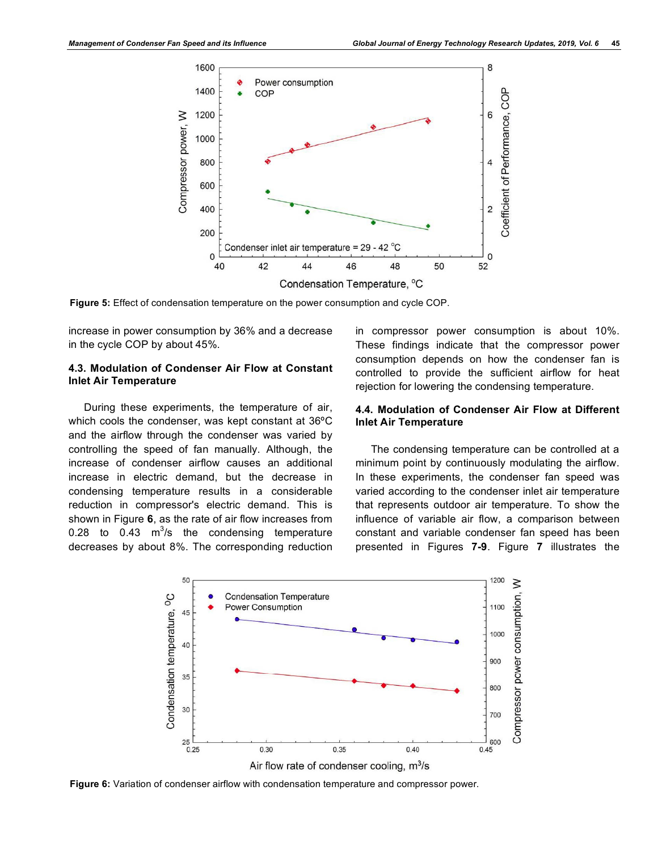

**Figure 5:** Effect of condensation temperature on the power consumption and cycle COP.

increase in power consumption by 36% and a decrease in the cycle COP by about 45%.

# **4.3. Modulation of Condenser Air Flow at Constant Inlet Air Temperature**

During these experiments, the temperature of air, which cools the condenser, was kept constant at 36ºC and the airflow through the condenser was varied by controlling the speed of fan manually. Although, the increase of condenser airflow causes an additional increase in electric demand, but the decrease in condensing temperature results in a considerable reduction in compressor's electric demand. This is shown in Figure **6**, as the rate of air flow increases from 0.28 to 0.43  $m^3/s$  the condensing temperature decreases by about 8%. The corresponding reduction

in compressor power consumption is about 10%. These findings indicate that the compressor power consumption depends on how the condenser fan is controlled to provide the sufficient airflow for heat rejection for lowering the condensing temperature.

# **4.4. Modulation of Condenser Air Flow at Different Inlet Air Temperature**

The condensing temperature can be controlled at a minimum point by continuously modulating the airflow. In these experiments, the condenser fan speed was varied according to the condenser inlet air temperature that represents outdoor air temperature. To show the influence of variable air flow, a comparison between constant and variable condenser fan speed has been presented in Figures **7-9**. Figure **7** illustrates the



**Figure 6:** Variation of condenser airflow with condensation temperature and compressor power.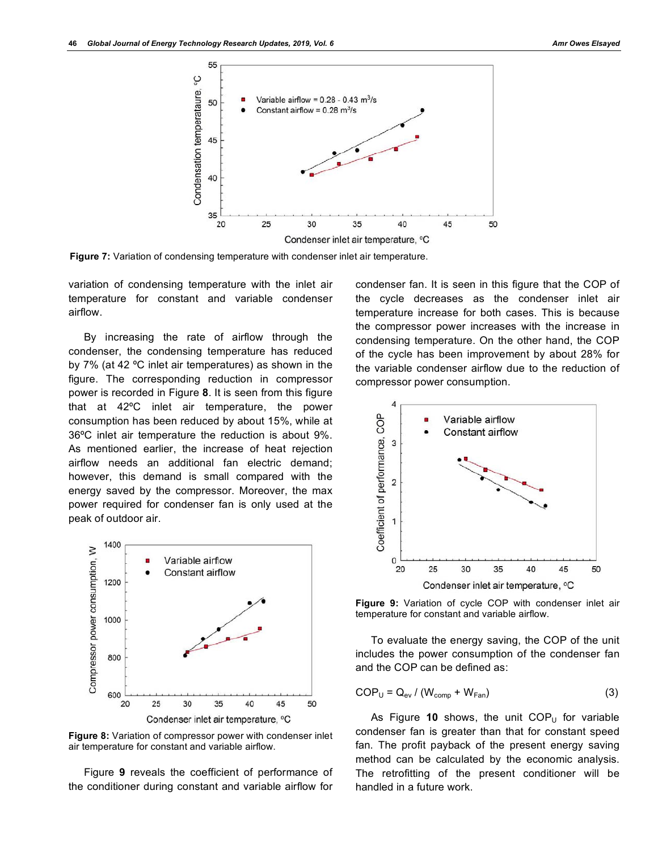

**Figure 7:** Variation of condensing temperature with condenser inlet air temperature.

variation of condensing temperature with the inlet air temperature for constant and variable condenser airflow.

By increasing the rate of airflow through the condenser, the condensing temperature has reduced by 7% (at 42 ºC inlet air temperatures) as shown in the figure. The corresponding reduction in compressor power is recorded in Figure **8**. It is seen from this figure that at 42ºC inlet air temperature, the power consumption has been reduced by about 15%, while at 36ºC inlet air temperature the reduction is about 9%. As mentioned earlier, the increase of heat rejection airflow needs an additional fan electric demand; however, this demand is small compared with the energy saved by the compressor. Moreover, the max power required for condenser fan is only used at the peak of outdoor air.



**Figure 8:** Variation of compressor power with condenser inlet air temperature for constant and variable airflow.

Figure **9** reveals the coefficient of performance of the conditioner during constant and variable airflow for

condenser fan. It is seen in this figure that the COP of the cycle decreases as the condenser inlet air temperature increase for both cases. This is because the compressor power increases with the increase in condensing temperature. On the other hand, the COP of the cycle has been improvement by about 28% for the variable condenser airflow due to the reduction of compressor power consumption.



**Figure 9:** Variation of cycle COP with condenser inlet air temperature for constant and variable airflow.

To evaluate the energy saving, the COP of the unit includes the power consumption of the condenser fan and the COP can be defined as:

$$
COP_{U} = Q_{ev} / (W_{comp} + W_{Fan})
$$
 (3)

As Figure  $10$  shows, the unit  $COP_U$  for variable condenser fan is greater than that for constant speed fan. The profit payback of the present energy saving method can be calculated by the economic analysis. The retrofitting of the present conditioner will be handled in a future work.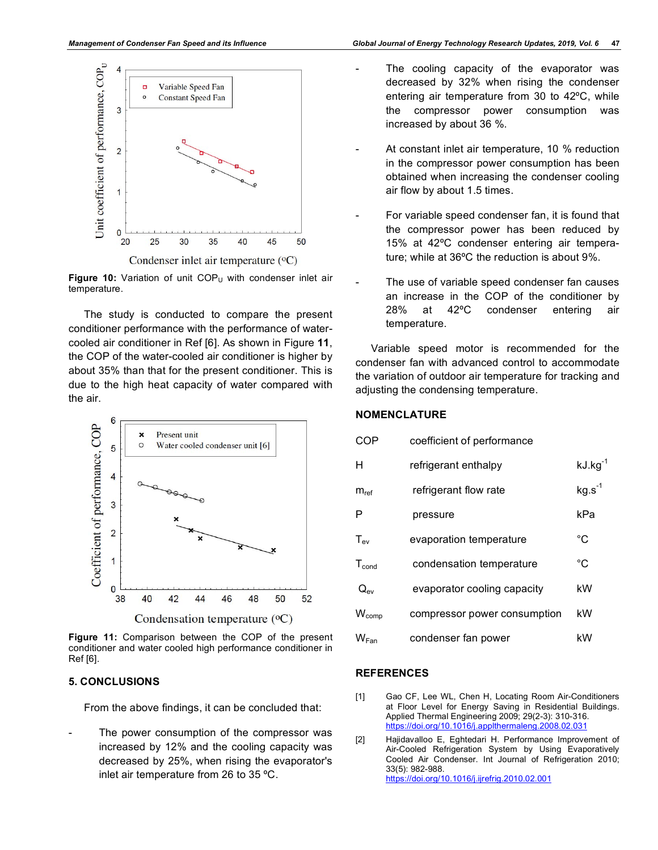

Figure 10: Variation of unit COP<sub>U</sub> with condenser inlet air temperature.

The study is conducted to compare the present conditioner performance with the performance of watercooled air conditioner in Ref [6]. As shown in Figure **11**, the COP of the water-cooled air conditioner is higher by about 35% than that for the present conditioner. This is due to the high heat capacity of water compared with the air.



**Figure 11:** Comparison between the COP of the present conditioner and water cooled high performance conditioner in Ref [6].

### **5. CONCLUSIONS**

From the above findings, it can be concluded that:

The power consumption of the compressor was increased by 12% and the cooling capacity was decreased by 25%, when rising the evaporator's inlet air temperature from 26 to 35 ºC.

- The cooling capacity of the evaporator was decreased by 32% when rising the condenser entering air temperature from 30 to 42ºC, while the compressor power consumption was increased by about 36 %.
- At constant inlet air temperature, 10 % reduction in the compressor power consumption has been obtained when increasing the condenser cooling air flow by about 1.5 times.
- For variable speed condenser fan, it is found that the compressor power has been reduced by 15% at 42ºC condenser entering air temperature; while at 36ºC the reduction is about 9%.
- The use of variable speed condenser fan causes an increase in the COP of the conditioner by 28% at 42ºC condenser entering air temperature.

Variable speed motor is recommended for the condenser fan with advanced control to accommodate the variation of outdoor air temperature for tracking and adjusting the condensing temperature.

# **NOMENCLATURE**

| COP               | coefficient of performance   |              |
|-------------------|------------------------------|--------------|
| н                 | refrigerant enthalpy         | $kJ.kg^{-1}$ |
| $m_{\text{ref}}$  | refrigerant flow rate        | $kg.s-1$     |
| P                 | pressure                     | kPa          |
| $T_{ev}$          | evaporation temperature      | °C           |
| $T_{cond}$        | condensation temperature     | °C           |
| $Q_{ev}$          | evaporator cooling capacity  | kW           |
| W <sub>comp</sub> | compressor power consumption | kW           |
| W <sub>Fan</sub>  | condenser fan power          | kW           |
|                   |                              |              |

# **REFERENCES**

- [1] Gao CF, Lee WL, Chen H, Locating Room Air-Conditioners at Floor Level for Energy Saving in Residential Buildings. Applied Thermal Engineering 2009; 29(2-3): 310-316. https://doi.org/10.1016/j.applthermaleng.2008.02.031
- [2] Hajidavalloo E, Eghtedari H. Performance Improvement of Air-Cooled Refrigeration System by Using Evaporatively Cooled Air Condenser. Int Journal of Refrigeration 2010; 33(5): 982-988. https://doi.org/10.1016/j.ijrefrig.2010.02.001